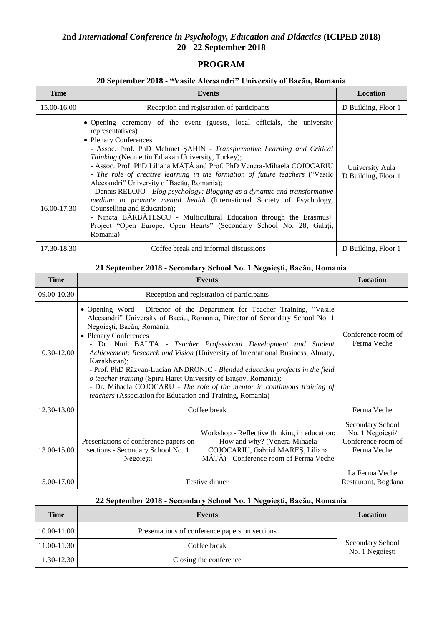# **2nd** *International Conference in Psychology, Education and Didactics* **(ICIPED 2018) 20 - 22 September 2018**

## **PROGRAM**

### **20 September 2018 - "Vasile Alecsandri" University of Bacău, Romania**

| <b>Time</b> | Events                                                                                                                                                                                                                                                                                                                                                                                                                                                                                                                                                                                                                                                                                                                                                                                                       | Location                               |
|-------------|--------------------------------------------------------------------------------------------------------------------------------------------------------------------------------------------------------------------------------------------------------------------------------------------------------------------------------------------------------------------------------------------------------------------------------------------------------------------------------------------------------------------------------------------------------------------------------------------------------------------------------------------------------------------------------------------------------------------------------------------------------------------------------------------------------------|----------------------------------------|
| 15.00-16.00 | Reception and registration of participants                                                                                                                                                                                                                                                                                                                                                                                                                                                                                                                                                                                                                                                                                                                                                                   | D Building, Floor 1                    |
| 16.00-17.30 | • Opening ceremony of the event (guests, local officials, the university<br>representatives)<br>• Plenary Conferences<br>- Assoc. Prof. PhD Mehmet SAHIN - Transformative Learning and Critical<br>Thinking (Necmettin Erbakan University, Turkey);<br>- Assoc. Prof. PhD Liliana MÂȚĂ and Prof. PhD Venera-Mihaela COJOCARIU<br>- The role of creative learning in the formation of future teachers ("Vasile<br>Alecsandri" University of Bacău, Romania);<br>- Dennis RELOJO - Blog psychology: Blogging as a dynamic and transformative<br>medium to promote mental health (International Society of Psychology,<br>Counselling and Education);<br>- Nineta BĂRBĂTESCU - Multicultural Education through the Erasmus+<br>Project "Open Europe, Open Hearts" (Secondary School No. 28, Galati,<br>Romania) | University Aula<br>D Building, Floor 1 |
| 17.30-18.30 | Coffee break and informal discussions                                                                                                                                                                                                                                                                                                                                                                                                                                                                                                                                                                                                                                                                                                                                                                        | D Building, Floor 1                    |

### **21 September 2018 - Secondary School No. 1 Negoiești, Bacău, Romania**

| <b>Time</b> | <b>Events</b>                                                                                                                                                                                                                                                                                                                                                                                                                                                                                                                                                                                                                                                                        |                                                                                                                                                             | <b>Location</b>                                                           |
|-------------|--------------------------------------------------------------------------------------------------------------------------------------------------------------------------------------------------------------------------------------------------------------------------------------------------------------------------------------------------------------------------------------------------------------------------------------------------------------------------------------------------------------------------------------------------------------------------------------------------------------------------------------------------------------------------------------|-------------------------------------------------------------------------------------------------------------------------------------------------------------|---------------------------------------------------------------------------|
| 09.00-10.30 |                                                                                                                                                                                                                                                                                                                                                                                                                                                                                                                                                                                                                                                                                      | Reception and registration of participants                                                                                                                  |                                                                           |
| 10.30-12.00 | • Opening Word - Director of the Department for Teacher Training, "Vasile"<br>Alecsandri" University of Bacău, Romania, Director of Secondary School No. 1<br>Negoiești, Bacău, Romania<br>• Plenary Conferences<br>- Dr. Nuri BALTA - Teacher Professional Development and Student<br>Achievement: Research and Vision (University of International Business, Almaty,<br>Kazakhstan);<br>- Prof. PhD Răzvan-Lucian ANDRONIC - Blended education projects in the field<br>o teacher training (Spiru Haret University of Braşov, Romania);<br>- Dr. Mihaela COJOCARU - The role of the mentor in continuous training of<br>teachers (Association for Education and Training, Romania) |                                                                                                                                                             | Conference room of<br>Ferma Veche                                         |
| 12.30-13.00 | Coffee break                                                                                                                                                                                                                                                                                                                                                                                                                                                                                                                                                                                                                                                                         |                                                                                                                                                             | Ferma Veche                                                               |
| 13.00-15.00 | Presentations of conference papers on<br>sections - Secondary School No. 1<br>Negoiești                                                                                                                                                                                                                                                                                                                                                                                                                                                                                                                                                                                              | Workshop - Reflective thinking in education:<br>How and why? (Venera-Mihaela<br>COJOCARIU, Gabriel MAREȘ, Liliana<br>MÂȚĂ) - Conference room of Ferma Veche | Secondary School<br>No. 1 Negoiești/<br>Conference room of<br>Ferma Veche |
| 15.00-17.00 | Festive dinner                                                                                                                                                                                                                                                                                                                                                                                                                                                                                                                                                                                                                                                                       |                                                                                                                                                             | La Ferma Veche<br>Restaurant, Bogdana                                     |

### **22 September 2018 - Secondary School No. 1 Negoiești, Bacău, Romania**

| Time            | <b>Events</b>                                  | Location                            |
|-----------------|------------------------------------------------|-------------------------------------|
| $10.00 - 11.00$ | Presentations of conference papers on sections |                                     |
| 11.00-11.30     | Coffee break                                   | Secondary School<br>No. 1 Negoiești |
| 11.30-12.30     | Closing the conference                         |                                     |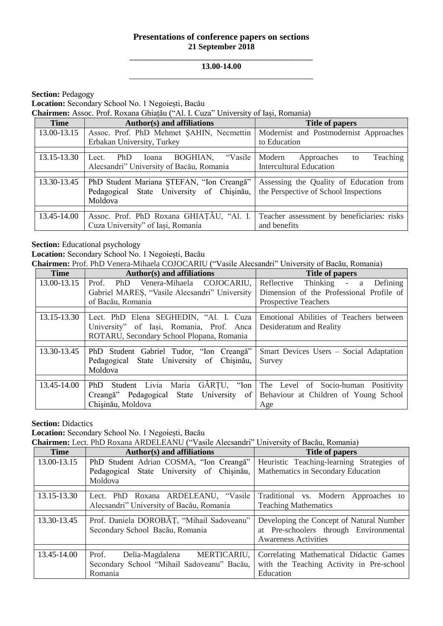## **Presentations of conference papers on sections 21 September 2018**

#### \_\_\_\_\_\_\_\_\_\_\_\_\_\_\_\_\_\_\_\_\_\_\_\_\_\_\_\_\_\_\_\_\_\_\_\_\_\_\_\_\_\_\_\_\_ **13.00-14.00** \_\_\_\_\_\_\_\_\_\_\_\_\_\_\_\_\_\_\_\_\_\_\_\_\_\_\_\_\_\_\_\_\_\_\_\_\_\_\_\_\_\_\_\_\_

**Section: Pedagogy** 

**Location:** Secondary School No. 1 Negoiești, Bacău

**Chairmen:** Assoc. Prof. Roxana Ghiațău ("Al. I. Cuza" University of Iași, Romania)

| <b>Time</b> | <b>Author(s)</b> and affiliations                                                                 | <b>Title of papers</b>                                                           |
|-------------|---------------------------------------------------------------------------------------------------|----------------------------------------------------------------------------------|
| 13.00-13.15 | Assoc. Prof. PhD Mehmet SAHIN, Necmettin                                                          | Modernist and Postmodernist Approaches                                           |
|             | Erbakan University, Turkey                                                                        | to Education                                                                     |
|             |                                                                                                   |                                                                                  |
| 13.15-13.30 | BOGHIAN,<br>"Vasile"<br>PhD<br>Ioana<br>Lect.                                                     | Teaching<br>Modern<br>Approaches<br>to                                           |
|             | Alecsandri" University of Bacău, Romania                                                          | <b>Intercultural Education</b>                                                   |
|             |                                                                                                   |                                                                                  |
| 13.30-13.45 | PhD Student Mariana STEFAN, "Ion Creangă"<br>Pedagogical State University of Chisinău,<br>Moldova | Assessing the Quality of Education from<br>the Perspective of School Inspections |
|             |                                                                                                   |                                                                                  |
| 13.45-14.00 | Assoc. Prof. PhD Roxana GHIATAU, "Al. I.<br>Cuza University" of Iasi, Romania                     | Teacher assessment by beneficiaries: risks<br>and benefits                       |

**Section:** Educational psychology

**Location:** Secondary School No. 1 Negoiești, Bacău

**Chairmen:** Prof. PhD Venera-Mihaela COJOCARIU ("Vasile Alecsandri" University of Bacău, Romania)

| <b>Time</b> | Author(s) and affiliations                    | <b>Title of papers</b>                                              |
|-------------|-----------------------------------------------|---------------------------------------------------------------------|
| 13.00-13.15 | PhD Venera-Mihaela COJOCARIU,<br>Prof.        | Reflective<br>Thinking - a Defining                                 |
|             | Gabriel MARES, "Vasile Alecsandri" University | Dimension of the Professional Profile of                            |
|             | of Bacău, Romania                             | Prospective Teachers                                                |
|             |                                               |                                                                     |
| 13.15-13.30 | Lect. PhD Elena SEGHEDIN, "Al. I. Cuza        | Emotional Abilities of Teachers between                             |
|             | University" of Iasi, Romania, Prof. Anca      | Desideratum and Reality                                             |
|             | ROTARU, Secondary School Plopana, Romania     |                                                                     |
|             |                                               |                                                                     |
| 13.30-13.45 | PhD Student Gabriel Tudor, "Ion Creangă"      | Smart Devices Users – Social Adaptation                             |
|             | Pedagogical State University of Chisinău,     | Survey                                                              |
|             | Moldova                                       |                                                                     |
|             |                                               |                                                                     |
| 13.45-14.00 | PhD                                           | Student Livia Maria GÂRȚU, "Ion The Level of Socio-human Positivity |
|             | Creangă" Pedagogical State University of      | Behaviour at Children of Young School                               |
|             | Chisinău, Moldova                             | Age                                                                 |

**Section: Didactics** 

**Location:** Secondary School No. 1 Negoiești, Bacău

**Chairmen:** Lect. PhD Roxana ARDELEANU ("Vasile Alecsandri" University of Bacău, Romania)

| <b>Time</b> | Author(s) and affiliations                 | Title of papers                           |
|-------------|--------------------------------------------|-------------------------------------------|
| 13.00-13.15 | PhD Student Adrian COSMA, "Ion Creangă"    | Heuristic Teaching-learning Strategies of |
|             | Pedagogical State University of Chisinău,  | Mathematics in Secondary Education        |
|             | Moldova                                    |                                           |
|             |                                            |                                           |
| 13.15-13.30 | Lect. PhD Roxana ARDELEANU, "Vasile        | Traditional vs. Modern<br>Approaches to   |
|             | Alecsandri" University of Bacău, Romania   | <b>Teaching Mathematics</b>               |
|             |                                            |                                           |
| 13.30-13.45 | Prof. Daniela DOROBĂȚ, "Mihail Sadoveanu"  | Developing the Concept of Natural Number  |
|             | Secondary School Bacău, Romania            | at Pre-schoolers through Environmental    |
|             |                                            | <b>Awareness Activities</b>               |
|             |                                            |                                           |
| 13.45-14.00 | Delia-Magdalena MERTICARIU,<br>Prof.       | Correlating Mathematical Didactic Games   |
|             | Secondary School "Mihail Sadoveanu" Bacău, | with the Teaching Activity in Pre-school  |
|             | Romania                                    | Education                                 |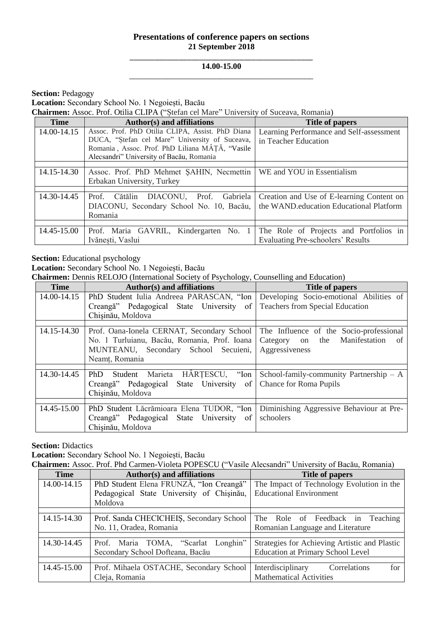## **Presentations of conference papers on sections 21 September 2018**

#### \_\_\_\_\_\_\_\_\_\_\_\_\_\_\_\_\_\_\_\_\_\_\_\_\_\_\_\_\_\_\_\_\_\_\_\_\_\_\_\_\_\_\_\_\_ **14.00-15.00** \_\_\_\_\_\_\_\_\_\_\_\_\_\_\_\_\_\_\_\_\_\_\_\_\_\_\_\_\_\_\_\_\_\_\_\_\_\_\_\_\_\_\_\_\_

**Section: Pedagogy** 

**Location:** Secondary School No. 1 Negoiești, Bacău

**Chairmen:** Assoc. Prof. Otilia CLIPA ("Ștefan cel Mare" University of Suceava, Romania)

| <b>Time</b> | Author(s) and affiliations                       | Title of papers                           |
|-------------|--------------------------------------------------|-------------------------------------------|
| 14.00-14.15 | Assoc. Prof. PhD Otilia CLIPA, Assist. PhD Diana | Learning Performance and Self-assessment  |
|             | DUCA, "Ștefan cel Mare" University of Suceava,   | in Teacher Education                      |
|             | Romania, Assoc. Prof. PhD Liliana MÂȚĂ, "Vasile  |                                           |
|             | Alecsandri" University of Bacău, Romania         |                                           |
|             |                                                  |                                           |
| 14.15-14.30 | Assoc. Prof. PhD Mehmet SAHIN, Necmettin         | WE and YOU in Essentialism                |
|             | Erbakan University, Turkey                       |                                           |
|             |                                                  |                                           |
| 14.30-14.45 | Prof. Cătălin DIACONU, Prof. Gabriela            | Creation and Use of E-learning Content on |
|             | DIACONU, Secondary School No. 10, Bacău,         | the WAND education Educational Platform   |
|             | Romania                                          |                                           |
|             |                                                  |                                           |
| 14.45-15.00 | Prof. Maria GAVRIL, Kindergarten No. 1           | The Role of Projects and Portfolios in    |
|             | Ivănesti, Vaslui                                 | <b>Evaluating Pre-schoolers' Results</b>  |

**Section:** Educational psychology

**Location:** Secondary School No. 1 Negoiești, Bacău

**Chairmen:** Dennis RELOJO (International Society of Psychology, Counselling and Education)

| <b>Time</b> | Author(s) and affiliations                                | Title of papers                           |
|-------------|-----------------------------------------------------------|-------------------------------------------|
| 14.00-14.15 | PhD Student Iulia Andreea PARASCAN, "Ion                  | Developing Socio-emotional Abilities of   |
|             | Creangă" Pedagogical State University of                  | <b>Teachers from Special Education</b>    |
|             | Chisinău, Moldova                                         |                                           |
|             |                                                           |                                           |
| 14.15-14.30 | Prof. Oana-Ionela CERNAT, Secondary School                | The Influence of the Socio-professional   |
|             | No. 1 Turluianu, Bacău, Romania, Prof. Ioana              | Manifestation<br>Category on the<br>of    |
|             | MUNTEANU, Secondary School Secuieni,                      | Aggressiveness                            |
|             | Neamt, Romania                                            |                                           |
|             |                                                           |                                           |
| 14.30-14.45 | HÂRTESCU, "Ion<br>Marieta<br>PhD.<br>Student              | School-family-community Partnership $- A$ |
|             | State University of<br>Creangă" Pedagogical               | <b>Chance for Roma Pupils</b>             |
|             | Chisinău, Moldova                                         |                                           |
|             |                                                           |                                           |
| 14.45-15.00 | PhD Student Lăcrămioara Elena TUDOR, "Ion                 | Diminishing Aggressive Behaviour at Pre-  |
|             | Creangă" Pedagogical State<br>University<br><sub>of</sub> | schoolers                                 |
|             | Chisinău, Moldova                                         |                                           |

**Section: Didactics** 

**Location:** Secondary School No. 1 Negoiești, Bacău

**Chairmen:** Assoc. Prof. Phd Carmen-Violeta POPESCU ("Vasile Alecsandri" University of Bacău, Romania)

| <b>Time</b> | Author(s) and affiliations                | <b>Title of papers</b>                        |
|-------------|-------------------------------------------|-----------------------------------------------|
| 14.00-14.15 | PhD Student Elena FRUNZĂ, "Ion Creangă"   | The Impact of Technology Evolution in the     |
|             | Pedagogical State University of Chisinău, | <b>Educational Environment</b>                |
|             | Moldova                                   |                                               |
|             |                                           |                                               |
| 14.15-14.30 | Prof. Sanda CHECICHEIS, Secondary School  | The Role of Feedback in Teaching              |
|             | No. 11, Oradea, Romania                   | Romanian Language and Literature              |
|             |                                           |                                               |
| 14.30-14.45 | Prof. Maria TOMA, "Scarlat Longhin"       | Strategies for Achieving Artistic and Plastic |
|             | Secondary School Dofteana, Bacău          | <b>Education at Primary School Level</b>      |
|             |                                           |                                               |
| 14.45-15.00 | Prof. Mihaela OSTACHE, Secondary School   | Interdisciplinary<br>for<br>Correlations      |
|             | Cleja, Romania                            | <b>Mathematical Activities</b>                |